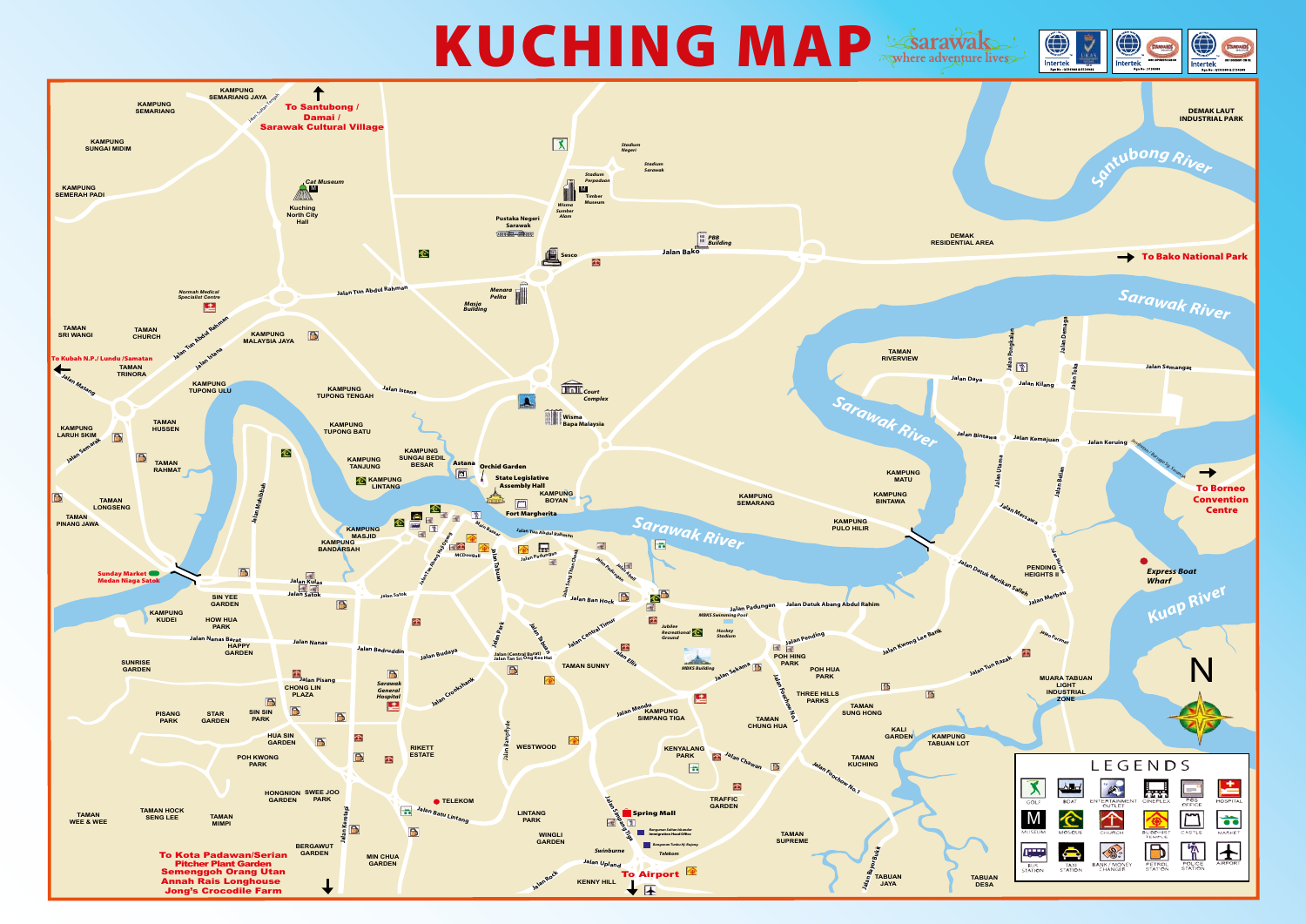